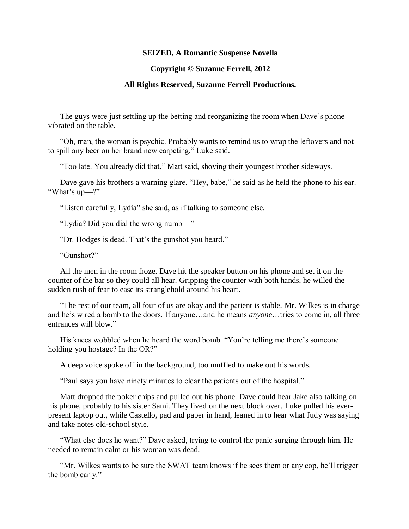## **SEIZED, A Romantic Suspense Novella**

## **Copyright © Suzanne Ferrell, 2012**

## **All Rights Reserved, Suzanne Ferrell Productions.**

The guys were just settling up the betting and reorganizing the room when Dave's phone vibrated on the table.

"Oh, man, the woman is psychic. Probably wants to remind us to wrap the leftovers and not to spill any beer on her brand new carpeting," Luke said.

"Too late. You already did that," Matt said, shoving their youngest brother sideways.

Dave gave his brothers a warning glare. "Hey, babe," he said as he held the phone to his ear. "What's up—?"

"Listen carefully, Lydia" she said, as if talking to someone else.

"Lydia? Did you dial the wrong numb—"

"Dr. Hodges is dead. That's the gunshot you heard."

"Gunshot?"

All the men in the room froze. Dave hit the speaker button on his phone and set it on the counter of the bar so they could all hear. Gripping the counter with both hands, he willed the sudden rush of fear to ease its stranglehold around his heart.

"The rest of our team, all four of us are okay and the patient is stable. Mr. Wilkes is in charge and he's wired a bomb to the doors. If anyone…and he means *anyone*…tries to come in, all three entrances will blow."

His knees wobbled when he heard the word bomb. "You're telling me there's someone holding you hostage? In the OR?"

A deep voice spoke off in the background, too muffled to make out his words.

"Paul says you have ninety minutes to clear the patients out of the hospital."

Matt dropped the poker chips and pulled out his phone. Dave could hear Jake also talking on his phone, probably to his sister Sami. They lived on the next block over. Luke pulled his everpresent laptop out, while Castello, pad and paper in hand, leaned in to hear what Judy was saying and take notes old-school style.

"What else does he want?" Dave asked, trying to control the panic surging through him. He needed to remain calm or his woman was dead.

"Mr. Wilkes wants to be sure the SWAT team knows if he sees them or any cop, he'll trigger the bomb early."